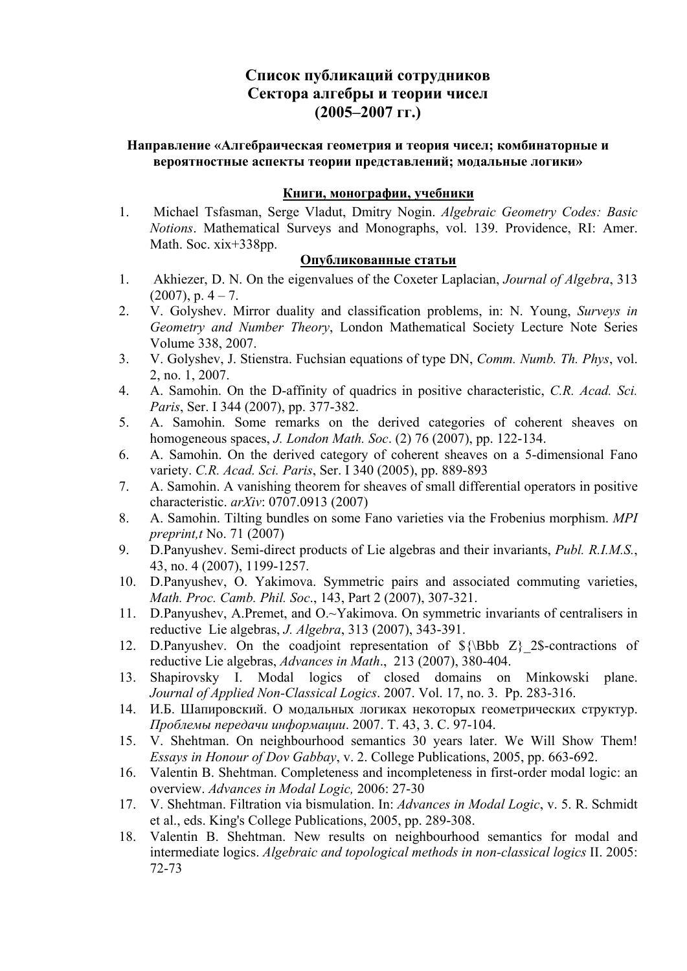# **Список публикаций сотрудников Сектора алгебры и теории чисел (2005–2007 гг.)**

### **Направление «Алгебраическая геометрия и теория чисел; комбинаторные и вероятностные аспекты теории представлений; модальные логики»**

### **Книги, монографии, учебники**

1. Michael Tsfasman, Serge Vladut, Dmitry Nogin. *Algebraic Geometry Codes: Basic Notions*. Mathematical Surveys and Monographs, vol. 139. Providence, RI: Amer. Math. Soc. xix+338pp.

### **Опубликованные статьи**

- 1. Akhiezer, D. N. On the eigenvalues of the Coxeter Laplacian, *Journal of Algebra*, 313  $(2007)$ , p.  $4 - 7$ .
- 2. V. Golyshev. Mirror duality and classification problems, in: N. Young, *Surveys in Geometry and Number Theory*, London Mathematical Society Lecture Note Series Volume 338, 2007.
- 3. V. Golyshev, J. Stienstra. Fuchsian equations of type DN, *Comm. Numb. Th. Phys*, vol. 2, no. 1, 2007.
- 4. A. Samohin. On the D-affinity of quadrics in positive characteristic, *C.R. Acad. Sci. Paris*, Ser. I 344 (2007), pp. 377-382.
- 5. A. Samohin. Some remarks on the derived categories of coherent sheaves on homogeneous spaces, *J. London Math. Soc*. (2) 76 (2007), pp. 122-134.
- 6. A. Samohin. On the derived category of coherent sheaves on a 5-dimensional Fano variety. *C.R. Acad. Sci. Paris*, Ser. I 340 (2005), pp. 889-893
- 7. A. Samohin. A vanishing theorem for sheaves of small differential operators in positive characteristic. *arXiv*: 0707.0913 (2007)
- 8. A. Samohin. Tilting bundles on some Fano varieties via the Frobenius morphism. *MPI preprint,t* No. 71 (2007)
- 9. D.Panyushev. Semi-direct products of Lie algebras and their invariants, *Publ. R.I.M.S.*, 43, no. 4 (2007), 1199-1257.
- 10. D.Panyushev, O. Yakimova. Symmetric pairs and associated commuting varieties, *Math. Proc. Camb. Phil. Soc*., 143, Part 2 (2007), 307-321.
- 11. D.Panyushev, A.Premet, and O.~Yakimova. On symmetric invariants of centralisers in reductive Lie algebras, *J. Algebra*, 313 (2007), 343-391.
- 12. D.Panyushev. On the coadjoint representation of  ${\Bbb S}{\Bbb B}$  Z ${\Bbb S}$ -contractions of reductive Lie algebras, *Advances in Math*., 213 (2007), 380-404.
- 13. Shapirovsky I. Modal logics of closed domains on Minkowski plane. *Journal of Applied Non-Classical Logics*. 2007. Vol. 17, no. 3. Pp. 283-316.
- 14. И.Б. Шапировский. О модальных логиках некоторых геометрических структур. *Проблемы передачи информации*. 2007. Т. 43, 3. С. 97-104.
- 15. V. Shehtman. On neighbourhood semantics 30 years later. We Will Show Them! *Essays in Honour of Dov Gabbay*, v. 2. College Publications, 2005, pp. 663-692.
- 16. Valentin B. Shehtman. Completeness and incompleteness in first-order modal logic: an overview. *Advances in Modal Logic,* 2006: 27-30
- 17. V. Shehtman. Filtration via bismulation. In: *Advances in Modal Logic*, v. 5. R. Schmidt et al., eds. King's College Publications, 2005, pp. 289-308.
- 18. Valentin B. Shehtman. New results on neighbourhood semantics for modal and intermediate logics. *Algebraic and topological methods in non-classical logics* II. 2005: 72-73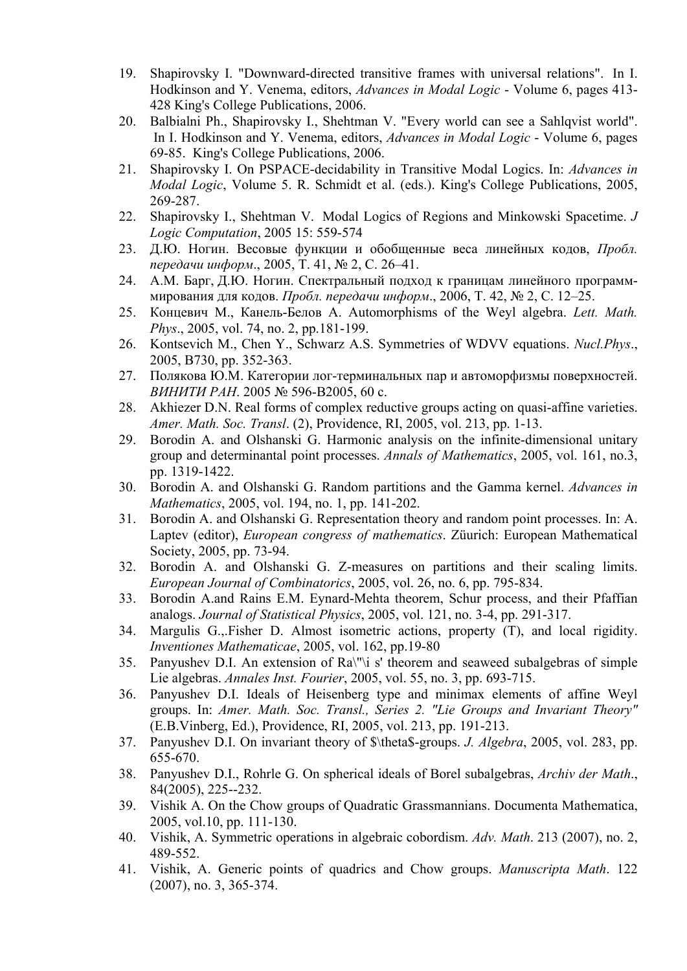- 19. Shapirovsky I. "Downward-directed transitive frames with universal relations". In I. Hodkinson and Y. Venema, editors, *Advances in Modal Logic* - Volume 6, pages 413- 428 King's College Publications, 2006.
- 20. Balbialni Ph., Shapirovsky I., Shehtman V. "Every world can see a Sahlqvist world". In I. Hodkinson and Y. Venema, editors, *Advances in Modal Logic* - Volume 6, pages 69-85. King's College Publications, 2006.
- 21. Shapirovsky I. On PSPACE-decidability in Transitive Modal Logics. In: *Advances in Modal Logic*, Volume 5. R. Schmidt et al. (eds.). King's College Publications, 2005, 269-287.
- 22. Shapirovsky I., Shehtman V. Modal Logics of Regions and Minkowski Spacetime. *J Logic Computation*, 2005 15: 559-574
- 23. Д.Ю. Ногин. Весовые функции и обобщенные веса линейных кодов, *Пробл. передачи информ*., 2005, Т. 41, № 2, С. 26–41.
- 24. А.М. Барг, Д.Ю. Ногин. Спектральный подход к границам линейного программмирования для кодов. *Пробл. передачи информ*., 2006, Т. 42, № 2, С. 12–25.
- 25. Концевич М., Канель-Белов А. Automorphisms of the Weyl algebra. *Lett. Math. Phys*., 2005, vol. 74, no. 2, pp.181-199.
- 26. Kontsevich M., Chen Y., Schwarz A.S. Symmetries of WDVV equations. *Nucl.Phys*., 2005, B730, pp. 352-363.
- 27. Полякова Ю.М. Категории лог-терминальных пар и автоморфизмы поверхностей. *ВИНИТИ РАН*. 2005 № 596-В2005, 60 с.
- 28. Akhiezer D.N. Real forms of complex reductive groups acting on quasi-affine varieties. *Amer. Math. Soc. Transl*. (2), Providence, RI, 2005, vol. 213, pp. 1-13.
- 29. Borodin A. and Olshanski G. Harmonic analysis on the infinite-dimensional unitary group and determinantal point processes. *Annals of Mathematics*, 2005, vol. 161, no.3, pp. 1319-1422.
- 30. Borodin A. and Olshanski G. Random partitions and the Gamma kernel. *Advances in Mathematics*, 2005, vol. 194, no. 1, pp. 141-202.
- 31. Borodin A. and Olshanski G. Representation theory and random point processes. In: A. Laptev (editor), *European congress of mathematics*. Züurich: European Mathematical Society, 2005, pp. 73-94.
- 32. Borodin A. and Olshanski G. Z-measures on partitions and their scaling limits. *European Journal of Combinatorics*, 2005, vol. 26, no. 6, pp. 795-834.
- 33. Borodin A.and Rains E.M. Eynard-Mehta theorem, Schur process, and their Pfaffian analogs. *Journal of Statistical Physics*, 2005, vol. 121, no. 3-4, pp. 291-317.
- 34. Margulis G.,.Fisher D. Almost isometric actions, property (T), and local rigidity. *Inventiones Mathematicae*, 2005, vol. 162, pp.19-80
- 35. Panyushev D.I. An extension of Ra\"\i s' theorem and seaweed subalgebras of simple Lie algebras. *Annales Inst. Fourier*, 2005, vol. 55, no. 3, pp. 693-715.
- 36. Panyushev D.I. Ideals of Heisenberg type and minimax elements of affine Weyl groups. In: *Amer. Math. Soc. Transl., Series 2. "Lie Groups and Invariant Theory"* (E.B.Vinberg, Ed.), Providence, RI, 2005, vol. 213, pp. 191-213.
- 37. Panyushev D.I. On invariant theory of \$\theta\$-groups. *J. Algebra*, 2005, vol. 283, pp. 655-670.
- 38. Panyushev D.I., Rohrle G. On spherical ideals of Borel subalgebras, *Archiv der Math*., 84(2005), 225--232.
- 39. Vishik A. On the Chow groups of Quadratic Grassmannians. Documenta Mathematica, 2005, vol.10, pp. 111-130.
- 40. Vishik, A. Symmetric operations in algebraic cobordism. *Adv. Math*. 213 (2007), no. 2, 489-552.
- 41. Vishik, A. Generic points of quadrics and Chow groups. *Manuscripta Math*. 122 (2007), no. 3, 365-374.